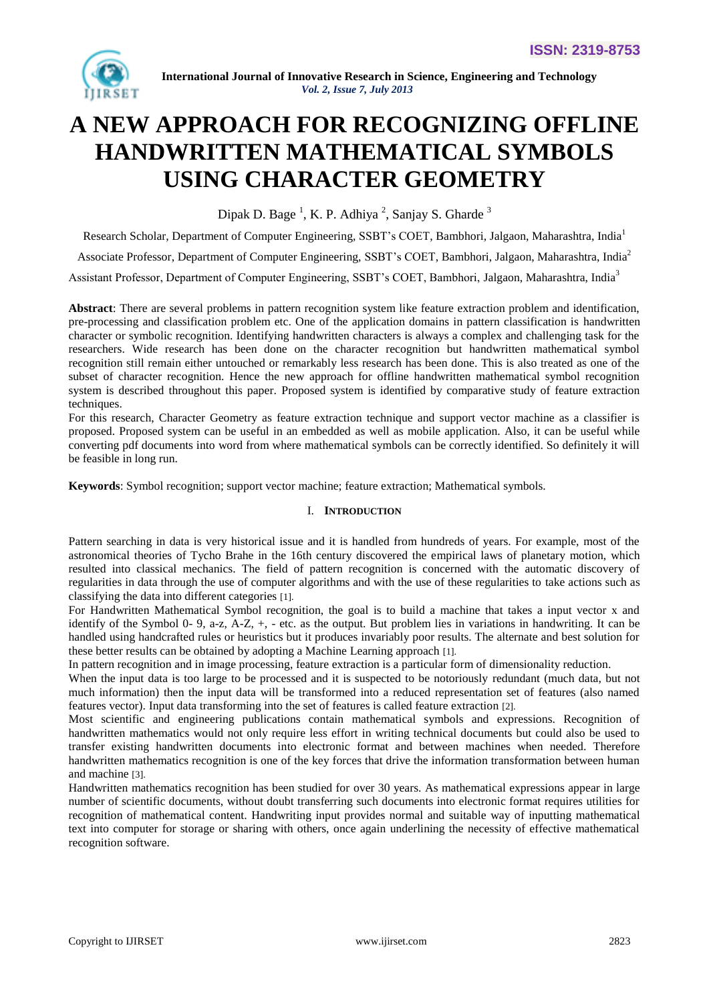

# **A NEW APPROACH FOR RECOGNIZING OFFLINE HANDWRITTEN MATHEMATICAL SYMBOLS USING CHARACTER GEOMETRY**

Dipak D. Bage<sup>1</sup>, K. P. Adhiya<sup>2</sup>, Sanjay S. Gharde<sup>3</sup>

Research Scholar, Department of Computer Engineering, SSBT's COET, Bambhori, Jalgaon, Maharashtra, India<sup>1</sup>

Associate Professor, Department of Computer Engineering, SSBT's COET, Bambhori, Jalgaon, Maharashtra, India<sup>2</sup>

Assistant Professor, Department of Computer Engineering, SSBT's COET, Bambhori, Jalgaon, Maharashtra, India<sup>3</sup>

**Abstract**: There are several problems in pattern recognition system like feature extraction problem and identification, pre-processing and classification problem etc. One of the application domains in pattern classification is handwritten character or symbolic recognition. Identifying handwritten characters is always a complex and challenging task for the researchers. Wide research has been done on the character recognition but handwritten mathematical symbol recognition still remain either untouched or remarkably less research has been done. This is also treated as one of the subset of character recognition. Hence the new approach for offline handwritten mathematical symbol recognition system is described throughout this paper. Proposed system is identified by comparative study of feature extraction techniques.

For this research, Character Geometry as feature extraction technique and support vector machine as a classifier is proposed. Proposed system can be useful in an embedded as well as mobile application. Also, it can be useful while converting pdf documents into word from where mathematical symbols can be correctly identified. So definitely it will be feasible in long run.

**Keywords**: Symbol recognition; support vector machine; feature extraction; Mathematical symbols.

## I. **INTRODUCTION**

Pattern searching in data is very historical issue and it is handled from hundreds of years. For example, most of the astronomical theories of Tycho Brahe in the 16th century discovered the empirical laws of planetary motion, which resulted into classical mechanics. The field of pattern recognition is concerned with the automatic discovery of regularities in data through the use of computer algorithms and with the use of these regularities to take actions such as classifying the data into different categories [1].

For Handwritten Mathematical Symbol recognition, the goal is to build a machine that takes a input vector x and identify of the Symbol 0- 9, a-z, A-Z, +, - etc. as the output. But problem lies in variations in handwriting. It can be handled using handcrafted rules or heuristics but it produces invariably poor results. The alternate and best solution for these better results can be obtained by adopting a Machine Learning approach [1].

In [pattern recognition](http://en.wikipedia.org/wiki/Pattern_recognition) and in [image processing,](http://en.wikipedia.org/wiki/Image_processing) feature extraction is a particular form of [dimensionality reduction.](http://en.wikipedia.org/wiki/Dimensionality_reduction)

When the input data is too large to be processed and it is suspected to be notoriously redundant (much data, but not much information) then the input data will be transformed into a reduced representation set of features (also named features vector). Input data transforming into the set of features is called feature extraction [2].

Most scientific and engineering publications contain mathematical symbols and expressions. Recognition of handwritten mathematics would not only require less effort in writing technical documents but could also be used to transfer existing handwritten documents into electronic format and between machines when needed. Therefore handwritten mathematics recognition is one of the key forces that drive the information transformation between human and machine [3].

Handwritten mathematics recognition has been studied for over 30 years. As mathematical expressions appear in large number of scientific documents, without doubt transferring such documents into electronic format requires utilities for recognition of mathematical content. Handwriting input provides normal and suitable way of inputting mathematical text into computer for storage or sharing with others, once again underlining the necessity of effective mathematical recognition software.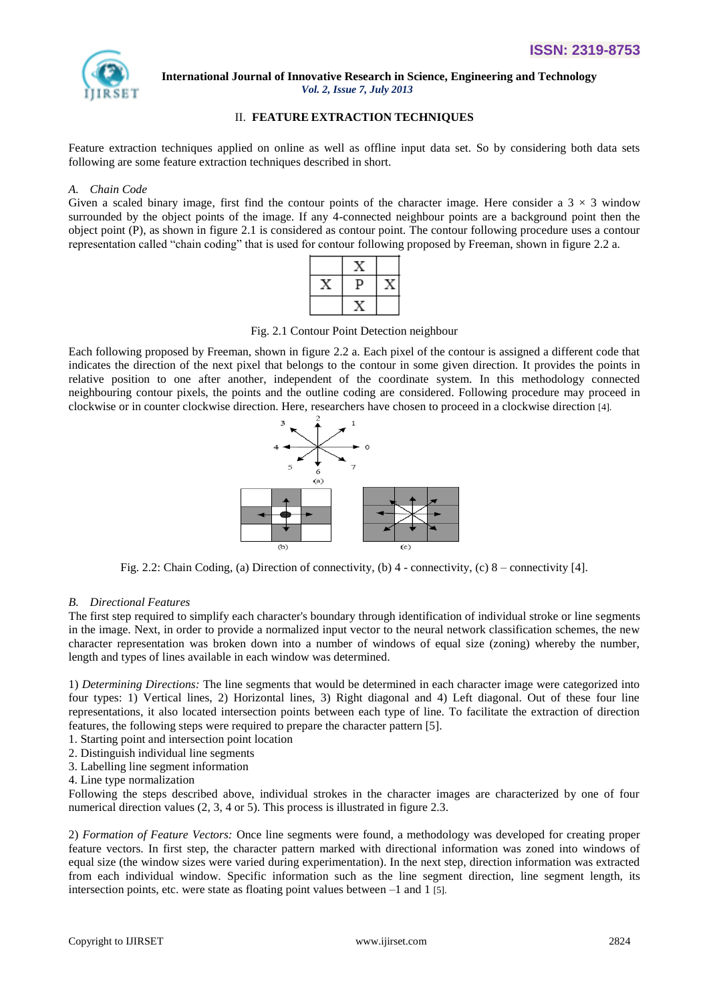

## II. **FEATURE EXTRACTION TECHNIQUES**

Feature extraction techniques applied on online as well as offline input data set. So by considering both data sets following are some feature extraction techniques described in short.

## *A. Chain Code*

Given a scaled binary image, first find the contour points of the character image. Here consider a  $3 \times 3$  window surrounded by the object points of the image. If any 4-connected neighbour points are a background point then the object point (P), as shown in figure 2.1 is considered as contour point. The contour following procedure uses a contour representation called "chain coding" that is used for contour following proposed by Freeman, shown in figure 2.2 a.

Fig. 2.1 Contour Point Detection neighbour

Each following proposed by Freeman, shown in figure 2.2 a. Each pixel of the contour is assigned a different code that indicates the direction of the next pixel that belongs to the contour in some given direction. It provides the points in relative position to one after another, independent of the coordinate system. In this methodology connected neighbouring contour pixels, the points and the outline coding are considered. Following procedure may proceed in clockwise or in counter clockwise direction. Here, researchers have chosen to proceed in a clockwise direction [4].



Fig. 2.2: Chain Coding, (a) Direction of connectivity, (b) 4 - connectivity, (c) 8 – connectivity [4].

## *B. Directional Features*

The first step required to simplify each character's boundary through identification of individual stroke or line segments in the image. Next, in order to provide a normalized input vector to the neural network classification schemes, the new character representation was broken down into a number of windows of equal size (zoning) whereby the number, length and types of lines available in each window was determined.

1) *Determining Directions:* The line segments that would be determined in each character image were categorized into four types: 1) Vertical lines, 2) Horizontal lines, 3) Right diagonal and 4) Left diagonal. Out of these four line representations, it also located intersection points between each type of line. To facilitate the extraction of direction features, the following steps were required to prepare the character pattern [5].

- 1. Starting point and intersection point location
- 2. Distinguish individual line segments
- 3. Labelling line segment information
- 4. Line type normalization

Following the steps described above, individual strokes in the character images are characterized by one of four numerical direction values (2, 3, 4 or 5). This process is illustrated in figure 2.3.

2) *Formation of Feature Vectors:* Once line segments were found, a methodology was developed for creating proper feature vectors. In first step, the character pattern marked with directional information was zoned into windows of equal size (the window sizes were varied during experimentation). In the next step, direction information was extracted from each individual window. Specific information such as the line segment direction, line segment length, its intersection points, etc. were state as floating point values between –1 and 1 [5].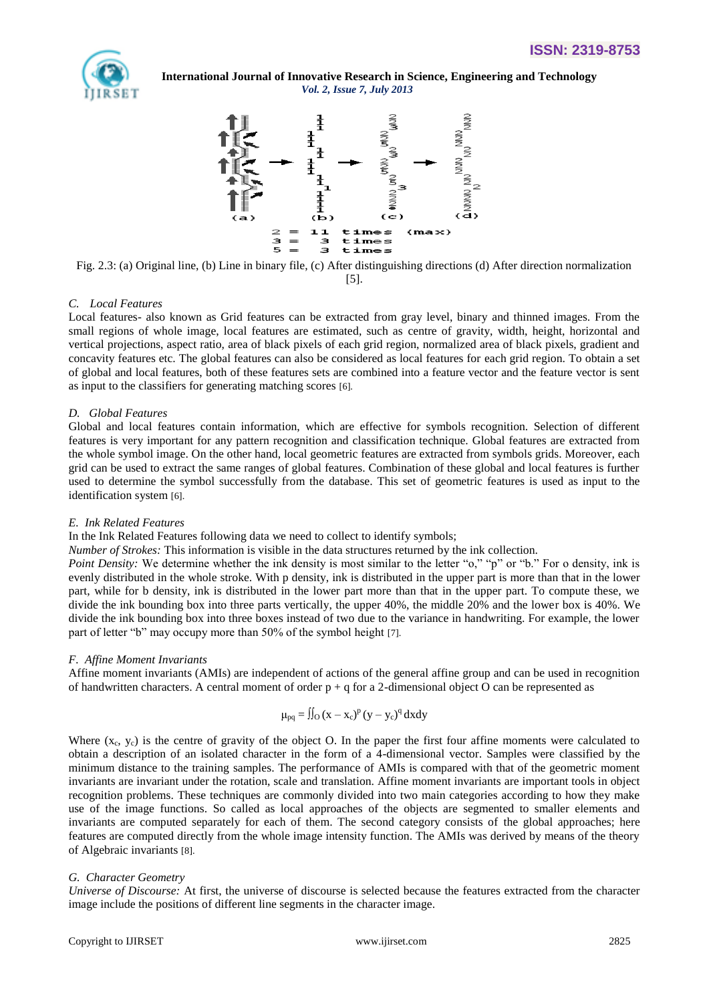



Fig. 2.3: (a) Original line, (b) Line in binary file, (c) After distinguishing directions (d) After direction normalization [5].

## *C. Local Features*

Local features- also known as Grid features can be extracted from gray level, binary and thinned images. From the small regions of whole image, local features are estimated, such as centre of gravity, width, height, horizontal and vertical projections, aspect ratio, area of black pixels of each grid region, normalized area of black pixels, gradient and concavity features etc. The global features can also be considered as local features for each grid region. To obtain a set of global and local features, both of these features sets are combined into a feature vector and the feature vector is sent as input to the classifiers for generating matching scores [6].

## *D. Global Features*

Global and local features contain information, which are effective for symbols recognition. Selection of different features is very important for any pattern recognition and classification technique. Global features are extracted from the whole symbol image. On the other hand, local geometric features are extracted from symbols grids. Moreover, each grid can be used to extract the same ranges of global features. Combination of these global and local features is further used to determine the symbol successfully from the database. This set of geometric features is used as input to the identification system [6].

## *E. Ink Related Features*

In the Ink Related Features following data we need to collect to identify symbols;

*Number of Strokes:* This information is visible in the data structures returned by the ink collection.

*Point Density:* We determine whether the ink density is most similar to the letter "o," "p" or "b." For o density, ink is evenly distributed in the whole stroke. With p density, ink is distributed in the upper part is more than that in the lower part, while for b density, ink is distributed in the lower part more than that in the upper part. To compute these, we divide the ink bounding box into three parts vertically, the upper 40%, the middle 20% and the lower box is 40%. We divide the ink bounding box into three boxes instead of two due to the variance in handwriting. For example, the lower part of letter "b" may occupy more than 50% of the symbol height [7].

## *F. Affine Moment Invariants*

Affine moment invariants (AMIs) are independent of actions of the general affine group and can be used in recognition of handwritten characters. A central moment of order  $p + q$  for a 2-dimensional object O can be represented as

$$
\mu_{pq} = \iint_O (x - x_c)^p (y - y_c)^q dx dy
$$

Where  $(x_c, y_c)$  is the centre of gravity of the object O. In the paper the first four affine moments were calculated to obtain a description of an isolated character in the form of a 4-dimensional vector. Samples were classified by the minimum distance to the training samples. The performance of AMIs is compared with that of the geometric moment invariants are invariant under the rotation, scale and translation. Affine moment invariants are important tools in object recognition problems. These techniques are commonly divided into two main categories according to how they make use of the image functions. So called as local approaches of the objects are segmented to smaller elements and invariants are computed separately for each of them. The second category consists of the global approaches; here features are computed directly from the whole image intensity function. The AMIs was derived by means of the theory of Algebraic invariants [8].

## *G. Character Geometry*

*Universe of Discourse:* At first, the universe of discourse is selected because the features extracted from the character image include the positions of different line segments in the character image.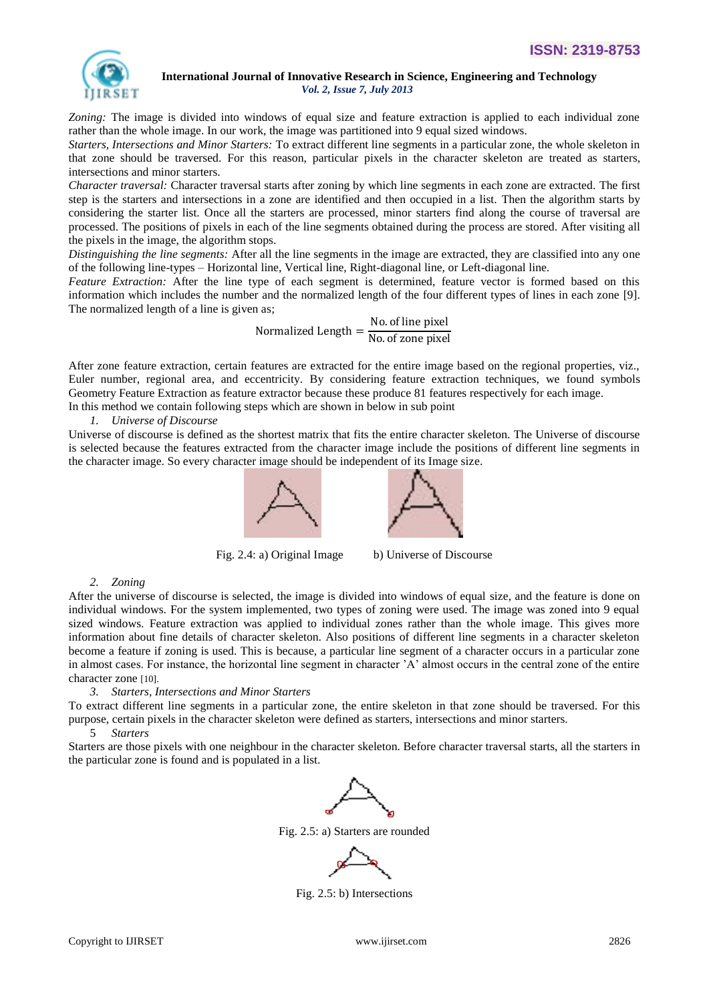

*Zoning:* The image is divided into windows of equal size and feature extraction is applied to each individual zone rather than the whole image. In our work, the image was partitioned into 9 equal sized windows.

*Starters, Intersections and Minor Starters:* To extract different line segments in a particular zone, the whole skeleton in that zone should be traversed. For this reason, particular pixels in the character skeleton are treated as starters, intersections and minor starters.

*Character traversal:* Character traversal starts after zoning by which line segments in each zone are extracted. The first step is the starters and intersections in a zone are identified and then occupied in a list. Then the algorithm starts by considering the starter list. Once all the starters are processed, minor starters find along the course of traversal are processed. The positions of pixels in each of the line segments obtained during the process are stored. After visiting all the pixels in the image, the algorithm stops.

*Distinguishing the line segments:* After all the line segments in the image are extracted, they are classified into any one of the following line-types – Horizontal line, Vertical line, Right-diagonal line, or Left-diagonal line.

*Feature Extraction:* After the line type of each segment is determined, feature vector is formed based on this information which includes the number and the normalized length of the four different types of lines in each zone [9]. The normalized length of a line is given as;

> Normalized Length  $=$   $\frac{\text{No. of line pixel}}{\text{No. of the point}}$ No. of zone pixel

After zone feature extraction, certain features are extracted for the entire image based on the regional properties, viz., Euler number, regional area, and eccentricity. By considering feature extraction techniques, we found symbols Geometry Feature Extraction as feature extractor because these produce 81 features respectively for each image. In this method we contain following steps which are shown in below in sub point

## *1. Universe of Discourse*

Universe of discourse is defined as the shortest matrix that fits the entire character skeleton. The Universe of discourse is selected because the features extracted from the character image include the positions of different line segments in the character image. So every character image should be independent of its Image size.





Fig. 2.4: a) Original Image b) Universe of Discourse

#### *2. Zoning*

After the universe of discourse is selected, the image is divided into windows of equal size, and the feature is done on individual windows. For the system implemented, two types of zoning were used. The image was zoned into 9 equal sized windows. Feature extraction was applied to individual zones rather than the whole image. This gives more information about fine details of character skeleton. Also positions of different line segments in a character skeleton become a feature if zoning is used. This is because, a particular line segment of a character occurs in a particular zone in almost cases. For instance, the horizontal line segment in character 'A' almost occurs in the central zone of the entire character zone [10].

#### *3. Starters, Intersections and Minor Starters*

To extract different line segments in a particular zone, the entire skeleton in that zone should be traversed. For this purpose, certain pixels in the character skeleton were defined as starters, intersections and minor starters.

#### 5 *Starters*

Starters are those pixels with one neighbour in the character skeleton. Before character traversal starts, all the starters in the particular zone is found and is populated in a list.



Fig. 2.5: a) Starters are rounded



Fig. 2.5: b) Intersections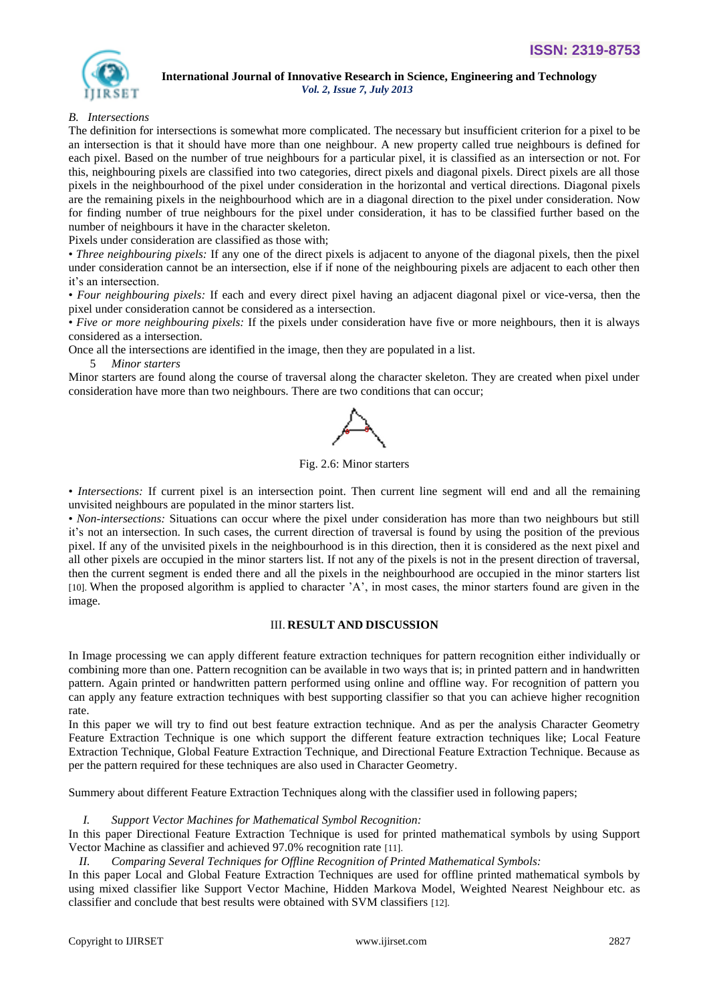

# *B. Intersections*

The definition for intersections is somewhat more complicated. The necessary but insufficient criterion for a pixel to be an intersection is that it should have more than one neighbour. A new property called true neighbours is defined for each pixel. Based on the number of true neighbours for a particular pixel, it is classified as an intersection or not. For this, neighbouring pixels are classified into two categories, direct pixels and diagonal pixels. Direct pixels are all those pixels in the neighbourhood of the pixel under consideration in the horizontal and vertical directions. Diagonal pixels are the remaining pixels in the neighbourhood which are in a diagonal direction to the pixel under consideration. Now for finding number of true neighbours for the pixel under consideration, it has to be classified further based on the number of neighbours it have in the character skeleton.

Pixels under consideration are classified as those with;

• *Three neighbouring pixels:* If any one of the direct pixels is adjacent to anyone of the diagonal pixels, then the pixel under consideration cannot be an intersection, else if if none of the neighbouring pixels are adjacent to each other then it's an intersection.

• *Four neighbouring pixels:* If each and every direct pixel having an adjacent diagonal pixel or vice-versa, then the pixel under consideration cannot be considered as a intersection.

• *Five or more neighbouring pixels:* If the pixels under consideration have five or more neighbours, then it is always considered as a intersection.

Once all the intersections are identified in the image, then they are populated in a list.

5 *Minor starters*

Minor starters are found along the course of traversal along the character skeleton. They are created when pixel under consideration have more than two neighbours. There are two conditions that can occur;



Fig. 2.6: Minor starters

• *Intersections:* If current pixel is an intersection point. Then current line segment will end and all the remaining unvisited neighbours are populated in the minor starters list.

• *Non-intersections:* Situations can occur where the pixel under consideration has more than two neighbours but still it's not an intersection. In such cases, the current direction of traversal is found by using the position of the previous pixel. If any of the unvisited pixels in the neighbourhood is in this direction, then it is considered as the next pixel and all other pixels are occupied in the minor starters list. If not any of the pixels is not in the present direction of traversal, then the current segment is ended there and all the pixels in the neighbourhood are occupied in the minor starters list [10]. When the proposed algorithm is applied to character 'A', in most cases, the minor starters found are given in the image.

## III. **RESULT AND DISCUSSION**

In Image processing we can apply different feature extraction techniques for pattern recognition either individually or combining more than one. Pattern recognition can be available in two ways that is; in printed pattern and in handwritten pattern. Again printed or handwritten pattern performed using online and offline way. For recognition of pattern you can apply any feature extraction techniques with best supporting classifier so that you can achieve higher recognition rate.

In this paper we will try to find out best feature extraction technique. And as per the analysis Character Geometry Feature Extraction Technique is one which support the different feature extraction techniques like; Local Feature Extraction Technique, Global Feature Extraction Technique, and Directional Feature Extraction Technique. Because as per the pattern required for these techniques are also used in Character Geometry.

Summery about different Feature Extraction Techniques along with the classifier used in following papers;

*I. Support Vector Machines for Mathematical Symbol Recognition:* 

In this paper Directional Feature Extraction Technique is used for printed mathematical symbols by using Support Vector Machine as classifier and achieved 97.0% recognition rate [11].

*II. Comparing Several Techniques for Offline Recognition of Printed Mathematical Symbols:* 

In this paper Local and Global Feature Extraction Techniques are used for offline printed mathematical symbols by using mixed classifier like Support Vector Machine, Hidden Markova Model, Weighted Nearest Neighbour etc. as classifier and conclude that best results were obtained with SVM classifiers [12].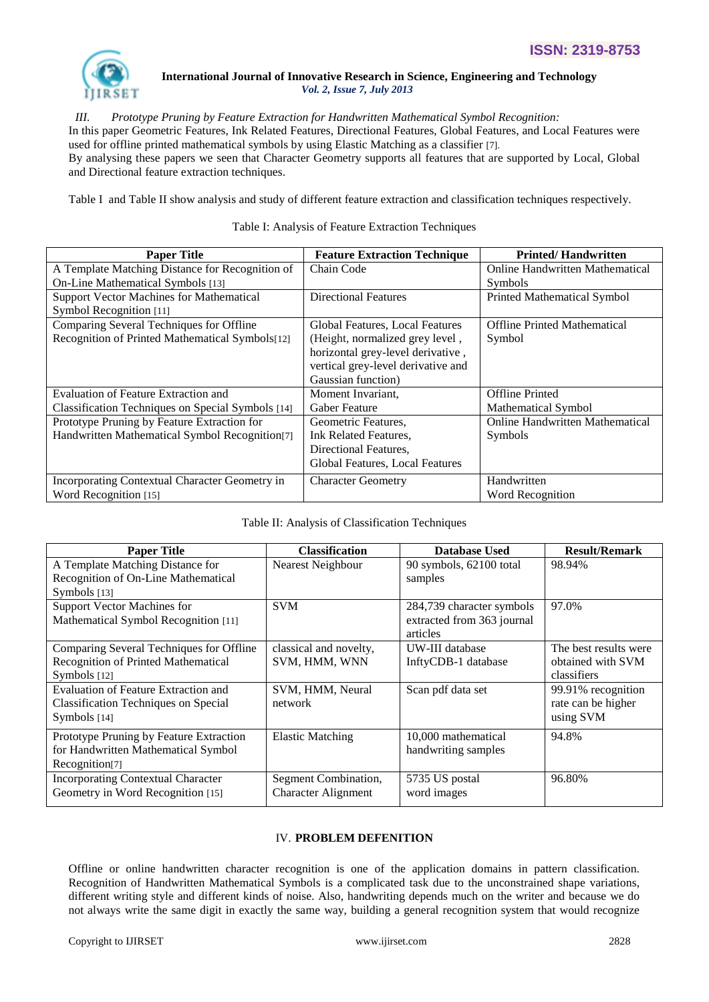

*III. Prototype Pruning by Feature Extraction for Handwritten Mathematical Symbol Recognition:*  In this paper Geometric Features, Ink Related Features, Directional Features, Global Features, and Local Features were used for offline printed mathematical symbols by using Elastic Matching as a classifier [7]. By analysing these papers we seen that Character Geometry supports all features that are supported by Local, Global and Directional feature extraction techniques.

Table I and Table II show analysis and study of different feature extraction and classification techniques respectively.

## Table I: Analysis of Feature Extraction Techniques

| <b>Paper Title</b>                                | <b>Feature Extraction Technique</b> | <b>Printed/Handwritten</b>             |
|---------------------------------------------------|-------------------------------------|----------------------------------------|
| A Template Matching Distance for Recognition of   | Chain Code                          | <b>Online Handwritten Mathematical</b> |
| On-Line Mathematical Symbols [13]                 |                                     | <b>Symbols</b>                         |
| <b>Support Vector Machines for Mathematical</b>   | <b>Directional Features</b>         | <b>Printed Mathematical Symbol</b>     |
| Symbol Recognition [11]                           |                                     |                                        |
| Comparing Several Techniques for Offline          | Global Features, Local Features     | <b>Offline Printed Mathematical</b>    |
| Recognition of Printed Mathematical Symbols[12]   | (Height, normalized grey level,     | Symbol                                 |
|                                                   | horizontal grey-level derivative,   |                                        |
|                                                   | vertical grey-level derivative and  |                                        |
|                                                   | Gaussian function)                  |                                        |
| <b>Evaluation of Feature Extraction and</b>       | Moment Invariant,                   | <b>Offline Printed</b>                 |
| Classification Techniques on Special Symbols [14] | <b>Gaber Feature</b>                | <b>Mathematical Symbol</b>             |
| Prototype Pruning by Feature Extraction for       | Geometric Features.                 | <b>Online Handwritten Mathematical</b> |
| Handwritten Mathematical Symbol Recognition[7]    | Ink Related Features.               | Symbols                                |
|                                                   | Directional Features,               |                                        |
|                                                   | Global Features, Local Features     |                                        |
| Incorporating Contextual Character Geometry in    | <b>Character Geometry</b>           | Handwritten                            |
| Word Recognition [15]                             |                                     | Word Recognition                       |

## Table II: Analysis of Classification Techniques

| <b>Paper Title</b>                          | <b>Classification</b>      | <b>Database Used</b>       | <b>Result/Remark</b>  |
|---------------------------------------------|----------------------------|----------------------------|-----------------------|
| A Template Matching Distance for            | Nearest Neighbour          | 90 symbols, 62100 total    | 98.94%                |
| Recognition of On-Line Mathematical         |                            | samples                    |                       |
| Symbols [13]                                |                            |                            |                       |
| <b>Support Vector Machines for</b>          | <b>SVM</b>                 | 284,739 character symbols  | 97.0%                 |
| Mathematical Symbol Recognition [11]        |                            | extracted from 363 journal |                       |
|                                             |                            | articles                   |                       |
| Comparing Several Techniques for Offline    | classical and novelty,     | UW-III database            | The best results were |
| Recognition of Printed Mathematical         | SVM, HMM, WNN              | InftyCDB-1 database        | obtained with SVM     |
| Symbols [12]                                |                            |                            | classifiers           |
| Evaluation of Feature Extraction and        | SVM, HMM, Neural           | Scan pdf data set          | 99.91% recognition    |
| <b>Classification Techniques on Special</b> | network                    |                            | rate can be higher    |
| Symbols [14]                                |                            |                            | using SVM             |
| Prototype Pruning by Feature Extraction     | <b>Elastic Matching</b>    | 10,000 mathematical        | 94.8%                 |
| for Handwritten Mathematical Symbol         |                            | handwriting samples        |                       |
| Recognition <sup>[7]</sup>                  |                            |                            |                       |
| <b>Incorporating Contextual Character</b>   | Segment Combination,       | 5735 US postal             | 96.80%                |
| Geometry in Word Recognition [15]           | <b>Character Alignment</b> | word images                |                       |

## IV. **PROBLEM DEFENITION**

Offline or online handwritten character recognition is one of the application domains in pattern classification. Recognition of Handwritten Mathematical Symbols is a complicated task due to the unconstrained shape variations, different writing style and different kinds of noise. Also, handwriting depends much on the writer and because we do not always write the same digit in exactly the same way, building a general recognition system that would recognize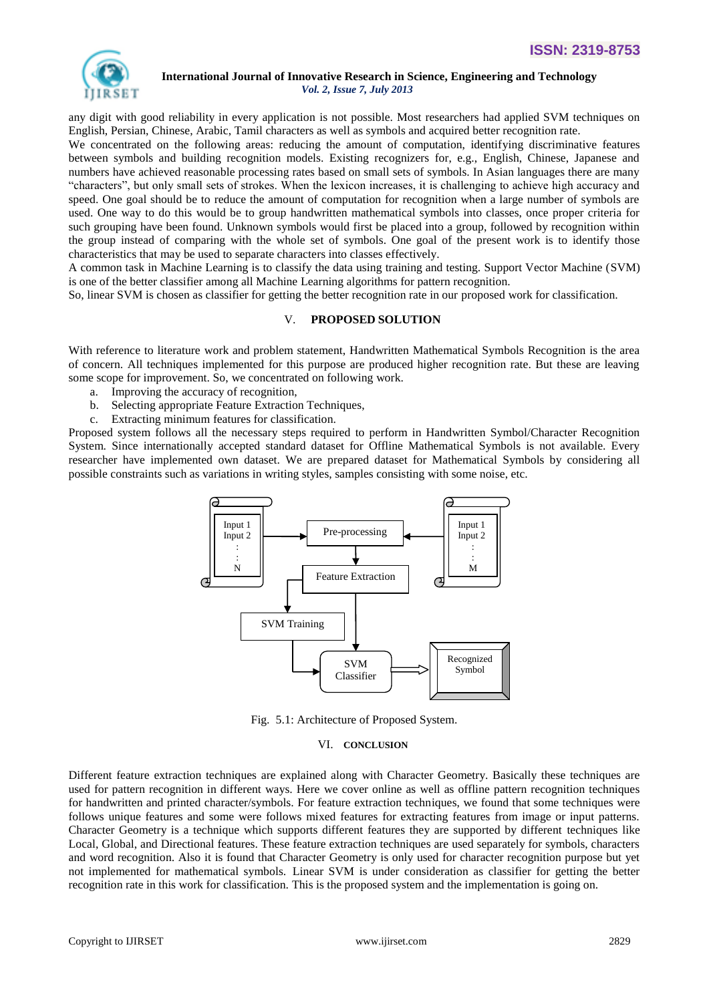

any digit with good reliability in every application is not possible. Most researchers had applied SVM techniques on English, Persian, Chinese, Arabic, Tamil characters as well as symbols and acquired better recognition rate.

We concentrated on the following areas: reducing the amount of computation, identifying discriminative features between symbols and building recognition models. Existing recognizers for, e.g., English, Chinese, Japanese and numbers have achieved reasonable processing rates based on small sets of symbols. In Asian languages there are many "characters", but only small sets of strokes. When the lexicon increases, it is challenging to achieve high accuracy and speed. One goal should be to reduce the amount of computation for recognition when a large number of symbols are used. One way to do this would be to group handwritten mathematical symbols into classes, once proper criteria for such grouping have been found. Unknown symbols would first be placed into a group, followed by recognition within the group instead of comparing with the whole set of symbols. One goal of the present work is to identify those characteristics that may be used to separate characters into classes effectively.

A common task in Machine Learning is to classify the data using training and testing. Support Vector Machine (SVM) is one of the better classifier among all Machine Learning algorithms for pattern recognition.

So, linear SVM is chosen as classifier for getting the better recognition rate in our proposed work for classification.

## V. **PROPOSED SOLUTION**

With reference to literature work and problem statement, Handwritten Mathematical Symbols Recognition is the area of concern. All techniques implemented for this purpose are produced higher recognition rate. But these are leaving some scope for improvement. So, we concentrated on following work.

- a. Improving the accuracy of recognition,
- b. Selecting appropriate Feature Extraction Techniques,
- c. Extracting minimum features for classification.

Proposed system follows all the necessary steps required to perform in Handwritten Symbol/Character Recognition System. Since internationally accepted standard dataset for Offline Mathematical Symbols is not available. Every researcher have implemented own dataset. We are prepared dataset for Mathematical Symbols by considering all possible constraints such as variations in writing styles, samples consisting with some noise, etc.



Fig. 5.1: Architecture of Proposed System.

#### VI. **CONCLUSION**

Different feature extraction techniques are explained along with Character Geometry. Basically these techniques are used for pattern recognition in different ways. Here we cover online as well as offline pattern recognition techniques for handwritten and printed character/symbols. For feature extraction techniques, we found that some techniques were follows unique features and some were follows mixed features for extracting features from image or input patterns. Character Geometry is a technique which supports different features they are supported by different techniques like Local, Global, and Directional features. These feature extraction techniques are used separately for symbols, characters and word recognition. Also it is found that Character Geometry is only used for character recognition purpose but yet not implemented for mathematical symbols. Linear SVM is under consideration as classifier for getting the better recognition rate in this work for classification. This is the proposed system and the implementation is going on.